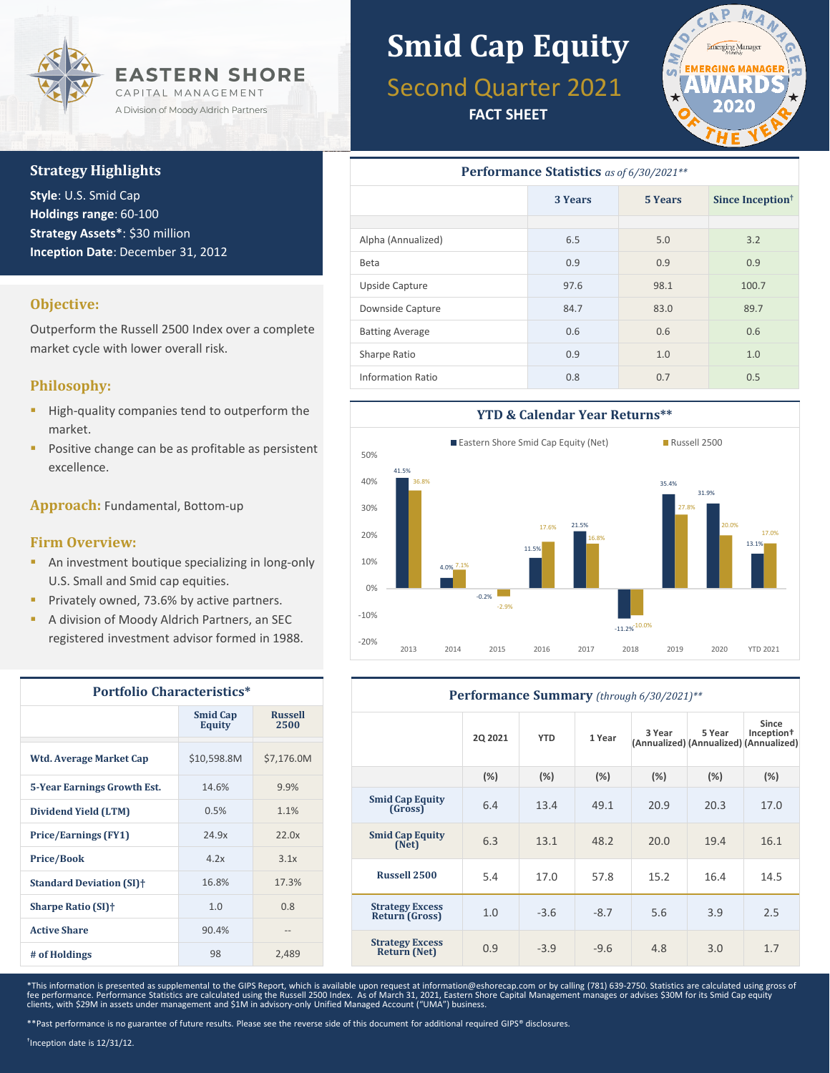

## **Strategy Highlights**

**Style**: U.S. Smid Cap **Holdings range**: 60-100 **Strategy Assets\***: \$30 million **Inception Date**: December 31, 2012

### **Objective:**

Outperform the Russell 2500 Index over a complete market cycle with lower overall risk.

### **Philosophy:**

- High-quality companies tend to outperform the market.
- Positive change can be as profitable as persistent excellence.

**Approach:** Fundamental, Bottom-up

#### **Firm Overview:**

- **An investment boutique specializing in long-only** U.S. Small and Smid cap equities.
- Privately owned, 73.6% by active partners.
- A division of Moody Aldrich Partners, an SEC registered investment advisor formed in 1988.

| <b>Portfolio Characteristics*</b>     |                                  |                        |  |  |  |
|---------------------------------------|----------------------------------|------------------------|--|--|--|
|                                       | <b>Smid Cap</b><br><b>Equity</b> | <b>Russell</b><br>2500 |  |  |  |
| Wtd. Average Market Cap               | \$10,598.8M                      | \$7,176.0M             |  |  |  |
| <b>5-Year Earnings Growth Est.</b>    | 14.6%                            | 9.9%                   |  |  |  |
| Dividend Yield (LTM)                  | 0.5%                             | 1.1%                   |  |  |  |
| <b>Price/Earnings (FY1)</b>           | 24.9x                            | 22.0x                  |  |  |  |
| <b>Price/Book</b>                     | 4.2x                             | 3.1x                   |  |  |  |
| <b>Standard Deviation (SI)</b> †      | 16.8%                            | 17.3%                  |  |  |  |
| <b>Sharpe Ratio (SI)</b> <sup>+</sup> | 1.0                              | 0.8                    |  |  |  |
| <b>Active Share</b>                   | 90.4%                            |                        |  |  |  |
| # of Holdings                         | 98                               | 2,489                  |  |  |  |

# **Smid Cap Equity**

# Second Quarter 2021

**FACT SHEET**



| <b>Performance Statistics</b> as of 6/30/2021** |                           |      |                              |  |  |
|-------------------------------------------------|---------------------------|------|------------------------------|--|--|
|                                                 | <b>3 Years</b><br>5 Years |      | Since Inception <sup>†</sup> |  |  |
|                                                 |                           |      |                              |  |  |
| Alpha (Annualized)                              | 6.5                       | 5.0  | 3.2                          |  |  |
| Beta                                            | 0.9                       | 0.9  | 0.9                          |  |  |
| Upside Capture                                  | 97.6                      | 98.1 | 100.7                        |  |  |
| Downside Capture                                | 84.7                      | 83.0 | 89.7                         |  |  |
| <b>Batting Average</b>                          | 0.6                       | 0.6  | 0.6                          |  |  |
| Sharpe Ratio                                    | 0.9                       | 1.0  | 1.0                          |  |  |
| Information Ratio                               | 0.8                       | 0.7  | 0.5                          |  |  |



| Performance Summary (through 6/30/2021)**     |                |            |        |        |                                                  |                                 |
|-----------------------------------------------|----------------|------------|--------|--------|--------------------------------------------------|---------------------------------|
|                                               | <b>2Q 2021</b> | <b>YTD</b> | 1 Year | 3 Year | 5 Year<br>(Annualized) (Annualized) (Annualized) | Since<br>Inception <sup>+</sup> |
|                                               | (%)            | (%)        | (%)    | (%)    | (%)                                              | (%)                             |
| <b>Smid Cap Equity</b><br>(Gross)             | 6.4            | 13.4       | 49.1   | 20.9   | 20.3                                             | 17.0                            |
| <b>Smid Cap Equity</b><br>(Net)               | 6.3            | 13.1       | 48.2   | 20.0   | 19.4                                             | 16.1                            |
| Russell 2500                                  | 5.4            | 17.0       | 57.8   | 15.2   | 16.4                                             | 14.5                            |
| <b>Strategy Excess</b><br>Return (Gross)      | 1.0            | $-3.6$     | $-8.7$ | 5.6    | 3.9                                              | 2.5                             |
| <b>Strategy Excess</b><br><b>Return (Net)</b> | 0.9            | $-3.9$     | $-9.6$ | 4.8    | 3.0                                              | 1.7                             |

\*This information is presented as supplemental to the GIPS Report, which is available upon request at information@eshorecap.com or by calling (781) 639-2750. Statistics are calculated using gross of fee performance. Performance Statistics are calculated using the Russell 2500 Index. As of March 31, 2021, Eastern Shore Capital Management manages or advises \$30M for its Smid Cap equity<br>clients, with \$29M in assets under

\*\*Past performance is no guarantee of future results. Please see the reverse side of this document for additional required GIPS® disclosures.

†Inception date is 12/31/12.